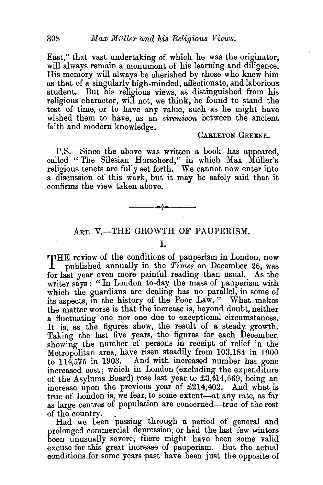East," that vast undertaking of which he was the originator, will always remain a monument of his learning and diligence. His memory will always be cherished by those who knew him as that of a singularly high-minded, affectionate, and laborious student. But his religious views, as distinguished from his religious character, will not, we think, be found to stand the test of time, or to have any value, such as he might have wished them to have, as an *eirenicon* between the ancient faith and modern knowledge.

## CARLETON GREENE.

P.S.-Since the above was written a book has appeared, called "The Silesian Horseherd," in which Max Muller's religious tenets are fully set forth. We cannot now enter into a discussion of this work, but it may be safely said that it confirms the view taken above.

## ART. V.-THE GROWTH OF PAUPERISM.

--~---

I.

THE review of the conditions of pauperism in London, now published annually in the *Times* on December 26, was for last year even more painful reading than usual. As the writer says : " In London to-day the mass of pauperism with which the guardians are dealing has no parallel, in some of its aspects, in the history of the Poor Law." What makes the matter worse is that the increase is, beyond doubt, neither a fluctuating one nor one due to exceptional circumstances. It is, as the figures show, the result of a steady growth. Taking the last five years, the figures for each December, showing the number of persons in receipt of relief in the Metropolitan area, have risen steadily from 103,184 in 1900 to 114,575 in 1903. And with increased number has gone increased cost; which in London (excluding the expenditure of the Asylums Board) rose last year to £3,414,669, being an increase upon the previous year of £214,402. And what is true of London is, we fear, to some extent-at any rate, as far as large centres of population are concerned-true of the rest

of the country. . Had we been passing through a period of general and prolonged commercial depression, or had the last few winters been unusually severe, there might have been some valid excuse for this great increase of pauperism. But the actual conditions for some years past have been just the opposite of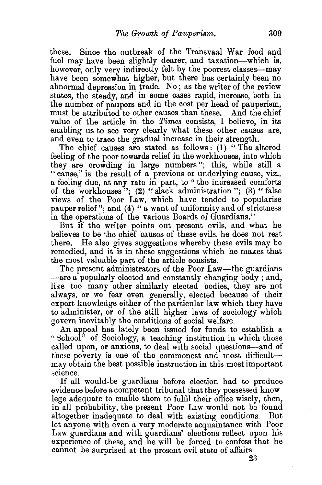these. Since the outbreak of the Transvaal War food and fuel may have been slightly dearer, and taxation-which is, however, only very indirectly felt by the poorest classes-may have been somewhat higher, but there has certainly been no abnormal depression in trade. No ; as the writer of the review states, the steady, and in some cases rapid, increase, both in the number of paupers and in the cost per head of pauperism, must be attributed to other causes than these. And the chief value of the article in the *Times* consists, I believe, in its enabling us to see very clearly what these other causes are, and even to trace the gradual increase in their strength.

The chief causes are stated as follows: (1) "The altered feeling of the poor towards relief in the workhouses, into which they are crowding in large numbers "; this, while still a "cause," is the result of a previous or underlying cause, viz., a feeling due, at any rate in part, to " the increased comforts of the workhouses"; (2) "slack administration"; (3) "false views of the Poor Law, which have tended to popularise pauper relief"; and (4) "a want of uniformity and of strictness in the operations of the various Boards of Guardians."

But if the writer points out present evils, and what he believes to be the chief causes of these evils, he does not rest there. He also gives suggestions whereby these evils may be remedied, and it is in these suggestions which he makes that the most valuable part of the article consists.

The present administrators of the Poor Law-the guardians -are a popularly elected and constantly changing body ; and, like too many other similarly elected bodies, they are not always, or we fear even generally, elected because of their expert knowledge either of the particular law which they have to administer, or of the still higher laws of sociology which govern inevitably the conditions of social welfare.

An appeal has lately been issued for funds to establish a "School" of Sociology, a teaching institution in which those called upon, or anxious, to deal with social questions-and of these poverty is one of the commonest and most difficultmay obtain the best possible instruction in this most important science.

If all would-be guardians before election had to produce evidence before a competent tribunal that they possessed know lege adequate to enable them to fulfil their office wisely, then, in all probability, the present Poor Law would not be found altogether inadequate to deal with existing conditions. But let anyone with even a very moderate acquaintance with Poor Law guardians and with guardians' elections reflect upon his experience of these, and he will be forced to confess that he cannot be surprised at the present evil state of affairs.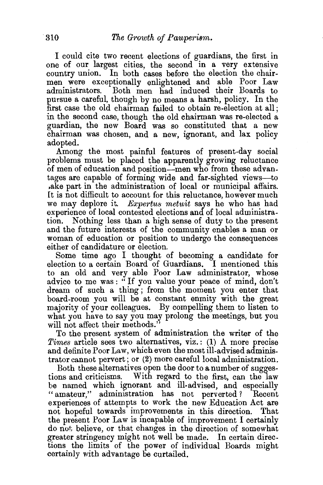I could cite two recent elections of guardians, the first in one of our largest cities, the second in a very extensive country union. In both cases before the election the chairmen were exceptionally enlightened and able Poor Law administrators. Both men had induced their Boards to pursue a careful, though by no means a harsh, policy. In the first case the old chairman failed to obtain re-election at all; in the second case, though the old chairman was re-elected a guardian, the new Board was so constituted that a new chairman was chosen, and a new, ignorant, and lax policy adopted.

Among the most painful features of present-day social problems must be placed the apparently growing reluctance of men of education and position-men who from these advantages are capable of forming wide and far-sighted views-to .ake part in the administration of local or municipal affairs. It is not difficult to account for this reluctance, however much we may deplore it. *Expertus metuit* says he who has had experience of local contested elections and of local administration. Nothing less than a high sense of duty to the present and the future interests of the community enables a man or woman of education or position to undergo the consequences either of candidature or election.

Some time ago I thought of becoming a candidate for election to a certain Board of Guardians. I mentioned this to an old and very able Poor Law administrator, whose advice to me was : " If you value your peace of mind, don't dream of such a thing ; from the moment you enter that board-room you will be at constant enmity with the great majority of your colleagues. By compelling them to listen to what you have to say you may prolong the meetings, but you will not affect their methods."

To the present system of administration the writer of the *Times* article sees two alternatives, viz.: (1) A more precise and definite Poor Law, which even the most ill-advised administrator cannot pervert; or (2) more careful local administration.

Both these alternatives open the door to a number of suggestions and criticisms. With regard to the first, can the law be named which ignorant and ill-advised, and especially "amateur," administration has not perverted? Recent experiences of attempts to work the new Education Act are not hopeful towards improvements in this direction. That the present Poor Law is incapable of improvement I certainly do nol; believe, or that changes in the direction of somewhat greater stringency might not well be made. In certain directions the limits of the power of individual Boards might certainly with advantage be curtailed.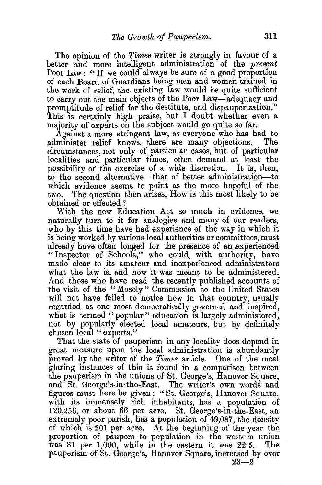The opinion of the *Times* writer is strongly in favour of a better and more intelligent administration of the *present*  Poor Law: "If we could always be sure of a good proportion of each Board of Guardians being men and women tramed in the work of relief, the existing law would be quite sufficient to carry out the main objects of the Poor Law-adequacy and promptitude of relief for the destitute, and dispauperization." This is certainly high praise, but I doubt whether even a majority of experts on the subject would go quite so far.

Against a more stringent law, as everyone who has had to administer relief knows, there are many objections. circumstances, not only of particular cases, but of particular localities and particular times, often demand at least the possibility of the exercise of a wide discretion. It is, then, to the second alternative-that of better administration-to which evidence seems to point as the more hopeful of the two. The question then arises, How is this most likely to be obtained or effected ?

With the new Education Act so much in evidence, we naturally turn to it for analogies, and many of our readers, who by this time have had experience of the way in which it is being worked by various local authorities or committees, must already have often longed for the presence of an experienced "Inspector of Schools," who could, with authority, have made clear to its amateur and inexperienced administrators what the law is, and how it was meant to be administered. And those who have read the recently published accounts of the visit of the "Mosely" Commission to the United States will not have failed to notice how in that country, usually regarded as one most democratically governed and inspired, what is termed "popular" education is largely administered, not by popularly elected local amateurs, but by definitely chosen local "experts."

That the state of pauperism in any locality does depend in great measure upon the local administration is abundantly proved by the writer of the *Times* article. One of the most glaring instances of this is found in a comparison between the pauperism in the unions of St. George's, Hanover Square, and St. George's-in-the-East. The writer's own words and figures must here be given: "St. George's, Hanover Square, with its immensely rich inhabitants, has a population of 120,256, or about 66 per acre. St. George's-in-the-East, an extremely poor parish, has a population of 49,087, the density of which is 201 per acre. At the beginning of the year the proportion of paupers to population in the western union was 31 per 1,000, while in the eastern it was 22·5. The pauperism of St. George's, Hanover Square, increased by over

 $23 - 2$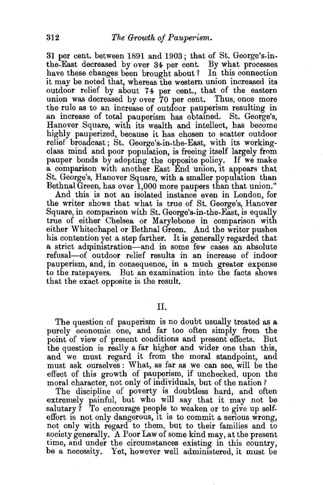31 per cent. between 1891 and 1903; that of St. George's. inthe-East decreased by over 34 per cent. By what processes have these changes been brought about? In this connection it may be noted that, whereas the western union increased its outdoor relief by about 74 per cent., that of the eastern union was decreased by over 70 per cent. Thus, once more the rule as to an increase of outdoor pauperism resulting in an increase of total pauperism has obtained. St. George's, Hanover Square, with its wealth and intellect, has become highly pauperized, because it has chosen to scatter outdoor relief broadcast ; St. George's-in-the-East, with its workingclass mind and poor population, is freeing itself largely from pauper bonds by adopting the opposite policy. If we make a comparison with another East End union, it appears that St. George's, Hanover Square, with a smaller population than Bethnal Green, has over 1,000 more paupers than that union."

And this is not an isolated instance even in London, for the writer shows that what is true of St. George's, Hanover Square, in comparison with St. George's-in-the-East, is equally true of either Chelsea or Marylebone in comparison with either Whitechapel or Bethnal Green. And the writer pushes his contention yet a step farther. It is generally regarded that a strict administration—and in some few cases an absolute refusal-of outdoor relief results in an increase of indoor pauperism, and, in consequence, in a much greater expense to the ratepayers. But an examination into the facts shows that the exact opposite is the result.

## II.

The question of pauperism is no doubt usually treated as a purely economic one, and far too often simply from the point of view of present conditions and present effects. But the question is really a far higher and wider one than this, and we must regard it from the moral standpoint, and must ask ourselves: What, as far as we can see, will be the effect of this growth of pauperism, if unchecked, upon the moral character, not only of individuals, but of the nation?

The discipline of poverty is doubtless hard, and often extremely painful, but who will say that it may not be salutary  $\overline{i}$  To encourage people to weaken or to give up selfeffort is not only dangerous, it is to commit a serious wrong, not only with regard to them, but to their families and to society generally. A Poor Law of some kind may, at the present time, and under the circumstances existing in this country, be a necessity. Yet, however well administered, it must be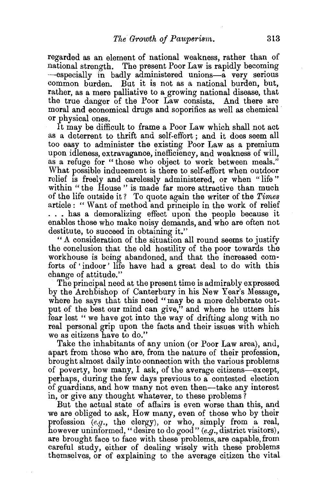regarded as an element of national weakness, rather than of national strength. The present Poor Law is rapidly becoming -especially in badly administered unions-a very serious common burden. But it is not as a national burden, but, rather, as a mere palliative to a growing national disease, that the true danger of the Poor Law consists. And there are moral and economical drugs and soporifics as well as chemical or physical ones.

It may be difficult to frame a Poor Law which shall not act as a deterrent to thrift and self-effort ; and it does seem all too easy to administer the existing Poor Law as a premium upon idleness, extravagance, inefficiency, and weakness of will, as a refuge for "those who object to work between meals." What possible inducement is there to self-effort when outdoor relief is freely and carelessly administered, or when "life" within "the House" is made far more attractive than much of the life outside it? To quote again the writer of the *Times*  article : " Want of method and principle in the work of relief ... has a demoralizing effect upon the people because it enables those who make noisy demands, and who are often not destitute, to succeed in obtaining it."

"A consideration of the situation all round seems to justify the conclusion that the old hostility of the poor towards the workhouse is being abandoned, and that the increased comforts of ' indoor' life have had a great deal to do with this change of attitude."

The principal need at the present time is admirably expressed by the Archbishop of Canterbury in his New Year's Message, where he says that this need "may be a more deliberate output of the best our mind can give," and where he utters his fear lest "we have got into the way of drifting along with no real personal grip upon the facts and their issues with which we as citizens have to do."

Take the inhabitants of any union (or Poor Law area), and, apart from those who are, from the nature of their profession, brought almost daily into connection with the various problems of poverty, how many, I ask, of the average citizens-except, perhaps, during the few days previous to a contested election of guardians, and how many not even then-take any interest in, or give any thought whatever, to these problems?

But the actual state of affairs is even worse than this, and we are obliged to ask, How many, even of those who by their profession (e.g., the clergy), or who, simply from a real, however uninformed, "desire to do good"  $(e.g.,$  district visitors), are brought face to face with these problems, are capable, from careful study, either of dealing wisely with these problems themselves, or of explaining to the average citizen the vital